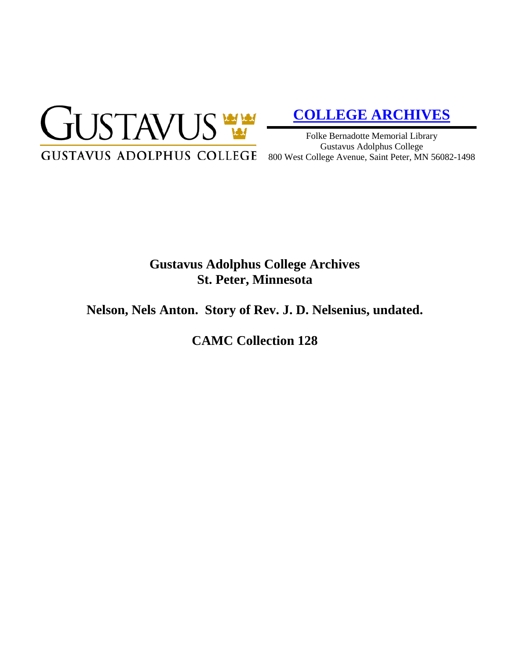

# **[COLLEGE ARCHIVES](http://gustavus.edu/academics/library/archives/)**

Folke Bernadotte Memorial Library Gustavus Adolphus College 800 West College Avenue, Saint Peter, MN 56082-1498

# **Gustavus Adolphus College Archives St. Peter, Minnesota**

# **Nelson, Nels Anton. Story of Rev. J. D. Nelsenius, undated.**

**CAMC Collection 128**